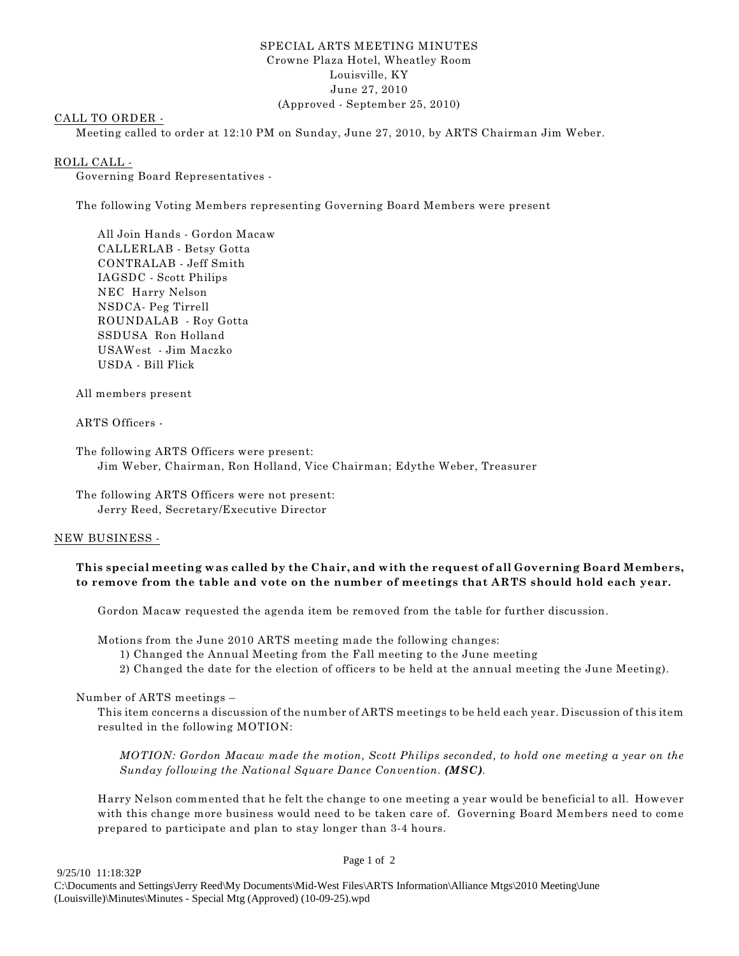## SPECIAL ARTS MEETING MINUTES Crowne Plaza Hotel, Wheatley Room Louisville, KY June 27, 2010 (Approved - September 25, 2010)

# CALL TO ORDER -

Meeting called to order at 12:10 PM on Sunday, June 27, 2010, by ARTS Chairman Jim Weber.

#### ROLL CALL -

Governing Board Representatives -

The following Voting Members representing Governing Board Members were present

All Join Hands - Gordon Macaw CALLERLAB - Betsy Gotta CONTRALAB - Jeff Smith IAGSDC - Scott Philips NEC Harry Nelson NSDCA- Peg Tirrell ROUNDALAB - Roy Gotta SSDUSA Ron Holland USAWest - Jim Maczko USDA - Bill Flick

All members present

ARTS Officers -

The following ARTS Officers were present: Jim Weber, Chairman, Ron Holland, Vice Chairman; Edythe Weber, Treasurer

The following ARTS Officers were not present: Jerry Reed, Secretary/Executive Director

## NEW BUSINESS -

# **This special meeting was called by the Chair, and with the request of all Governing Board Members, to remove from the table and vote on the number of meetings that ARTS should hold each year.**

Gordon Macaw requested the agenda item be removed from the table for further discussion.

Motions from the June 2010 ARTS meeting made the following changes:

- 1) Changed the Annual Meeting from the Fall meeting to the June meeting
- 2) Changed the date for the election of officers to be held at the annual meeting the June Meeting).

Number of ARTS meetings –

This item concerns a discussion of the number of ARTS meetings to be held each year. Discussion of this item resulted in the following MOTION:

*MOTION: Gordon Macaw made the motion, Scott Philips seconded, to hold one meeting a year on the Sunday following the National Square Dance Convention. (MSC).*

Harry Nelson commented that he felt the change to one meeting a year would be beneficial to all. However with this change more business would need to be taken care of. Governing Board Members need to come prepared to participate and plan to stay longer than 3-4 hours.

#### Page 1 of 2